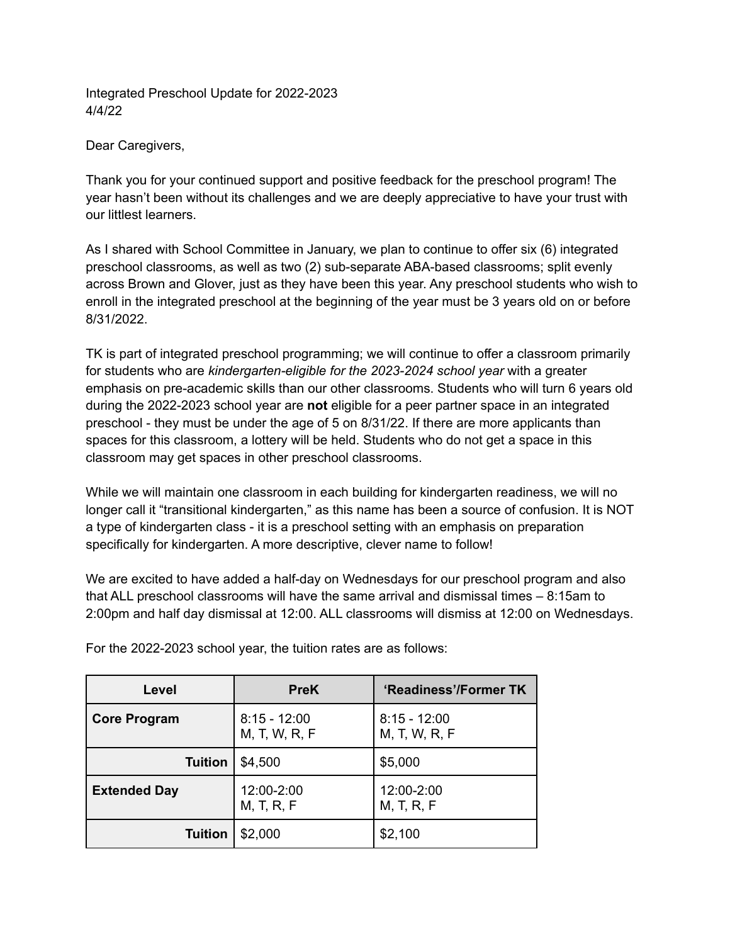Integrated Preschool Update for 2022-2023 4/4/22

Dear Caregivers,

Thank you for your continued support and positive feedback for the preschool program! The year hasn't been without its challenges and we are deeply appreciative to have your trust with our littlest learners.

As I shared with School Committee in January, we plan to continue to offer six (6) integrated preschool classrooms, as well as two (2) sub-separate ABA-based classrooms; split evenly across Brown and Glover, just as they have been this year. Any preschool students who wish to enroll in the integrated preschool at the beginning of the year must be 3 years old on or before 8/31/2022.

TK is part of integrated preschool programming; we will continue to offer a classroom primarily for students who are *kindergarten-eligible for the 2023-2024 school year* with a greater emphasis on pre-academic skills than our other classrooms. Students who will turn 6 years old during the 2022-2023 school year are **not** eligible for a peer partner space in an integrated preschool - they must be under the age of 5 on 8/31/22. If there are more applicants than spaces for this classroom, a lottery will be held. Students who do not get a space in this classroom may get spaces in other preschool classrooms.

While we will maintain one classroom in each building for kindergarten readiness, we will no longer call it "transitional kindergarten," as this name has been a source of confusion. It is NOT a type of kindergarten class - it is a preschool setting with an emphasis on preparation specifically for kindergarten. A more descriptive, clever name to follow!

We are excited to have added a half-day on Wednesdays for our preschool program and also that ALL preschool classrooms will have the same arrival and dismissal times – 8:15am to 2:00pm and half day dismissal at 12:00. ALL classrooms will dismiss at 12:00 on Wednesdays.

| Level               | <b>PreK</b>                     | 'Readiness'/Former TK           |
|---------------------|---------------------------------|---------------------------------|
| <b>Core Program</b> | $8:15 - 12:00$<br>M, T, W, R, F | $8:15 - 12:00$<br>M, T, W, R, F |
| <b>Tuition</b>      | \$4,500                         | \$5,000                         |
| <b>Extended Day</b> | 12:00-2:00<br>M, T, R, F        | 12:00-2:00<br>M, T, R, F        |
| <b>Tuition</b>      | \$2,000                         | \$2,100                         |

For the 2022-2023 school year, the tuition rates are as follows: